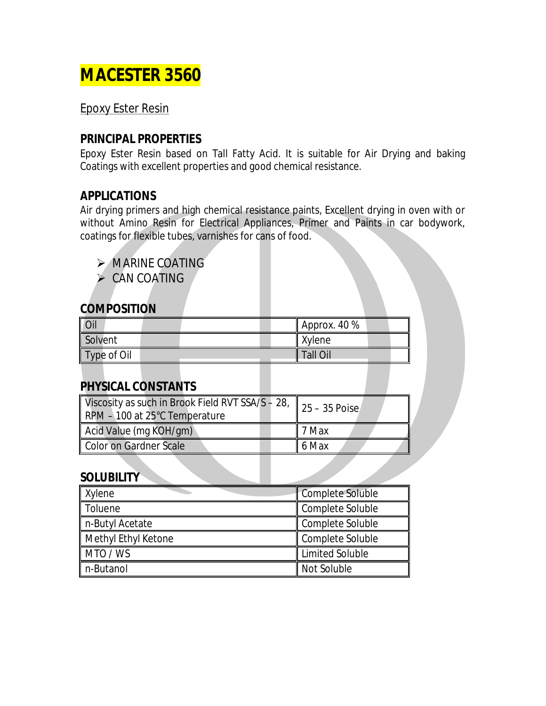## **MACESTER 3560**

Epoxy Ester Resin

#### **PRINCIPAL PROPERTIES**

Epoxy Ester Resin based on Tall Fatty Acid. It is suitable for Air Drying and baking Coatings with excellent properties and good chemical resistance.

#### **APPLICATIONS**

Air drying primers and high chemical resistance paints, Excellent drying in oven with or without Amino Resin for Electrical Appliances, Primer and Paints in car bodywork, coatings for flexible tubes, varnishes for cans of food.

MARINE COATING

 $\triangleright$  CAN COATING

#### **COMPOSITION**

| Oil         | Approx. 40 % |
|-------------|--------------|
| Solvent     | Xylene       |
| Type of Oil | Tall Oil     |

#### **PHYSICAL CONSTANTS**

| Viscosity as such in Brook Field RVT SSA/S - 28, $\parallel$ 25 - 35 Poise<br>RPM - 100 at 25°C Temperature |                   |
|-------------------------------------------------------------------------------------------------------------|-------------------|
| Acid Value (mg KOH/gm)                                                                                      | $\parallel$ 7 Max |
| Color on Gardner Scale                                                                                      | $6$ Max           |

#### **SOLUBILITY**

| <b>Xylene</b>       | <b>Complete Soluble</b> |
|---------------------|-------------------------|
| Toluene             | Complete Soluble        |
| ∥ n-Butyl Acetate   | Complete Soluble        |
| Methyl Ethyl Ketone | Complete Soluble        |
| MTO / WS            | <b>Limited Soluble</b>  |
| n-Butanol           | Not Soluble             |